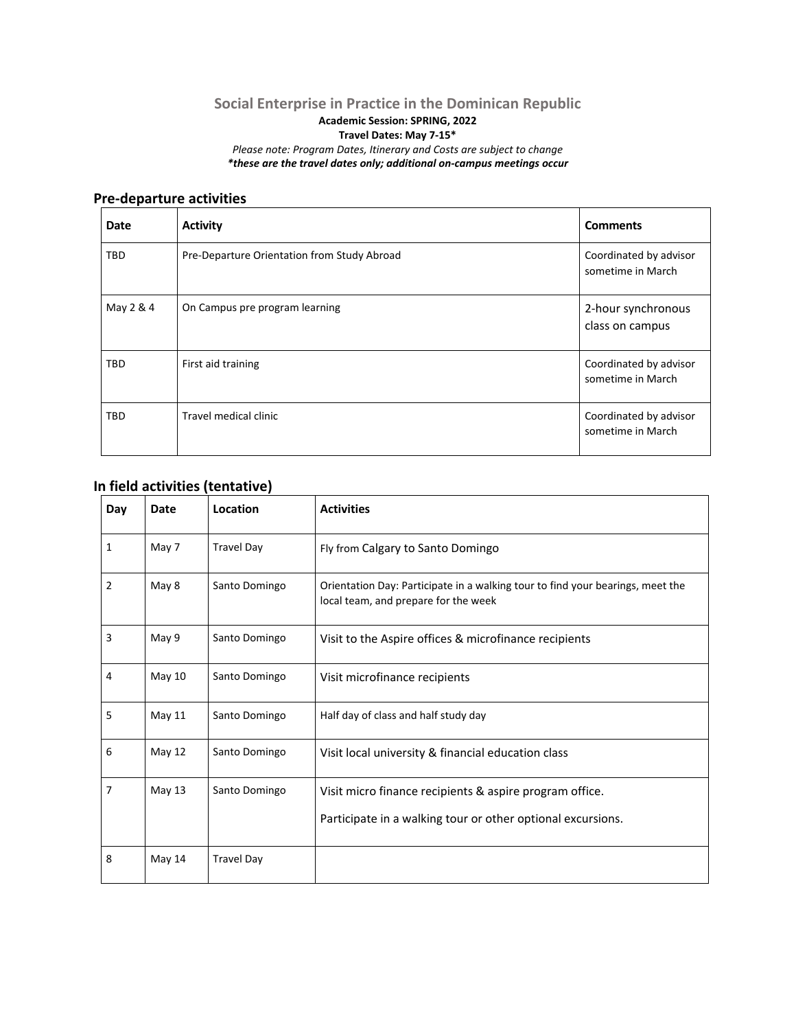## **Social Enterprise in Practice in the Dominican Republic Academic Session: SPRING, 2022 Travel Dates: May 7-15\*** *Please note: Program Dates, Itinerary and Costs are subject to change \*these are the travel dates only; additional on-campus meetings occur*

## **Pre-departure activities**

| <b>Date</b> | <b>Activity</b>                             | <b>Comments</b>                             |
|-------------|---------------------------------------------|---------------------------------------------|
| TBD         | Pre-Departure Orientation from Study Abroad | Coordinated by advisor<br>sometime in March |
| May 2 & 4   | On Campus pre program learning              | 2-hour synchronous<br>class on campus       |
| TBD         | First aid training                          | Coordinated by advisor<br>sometime in March |
| TBD         | Travel medical clinic                       | Coordinated by advisor<br>sometime in March |

## **In field activities (tentative)**

| Day            | <b>Date</b> | Location          | <b>Activities</b>                                                                                                      |  |
|----------------|-------------|-------------------|------------------------------------------------------------------------------------------------------------------------|--|
| $\mathbf{1}$   | May 7       | <b>Travel Day</b> | Fly from Calgary to Santo Domingo                                                                                      |  |
| $\overline{2}$ | May 8       | Santo Domingo     | Orientation Day: Participate in a walking tour to find your bearings, meet the<br>local team, and prepare for the week |  |
| 3              | May 9       | Santo Domingo     | Visit to the Aspire offices & microfinance recipients                                                                  |  |
| 4              | May 10      | Santo Domingo     | Visit microfinance recipients                                                                                          |  |
| 5              | May 11      | Santo Domingo     | Half day of class and half study day                                                                                   |  |
| 6              | May 12      | Santo Domingo     | Visit local university & financial education class                                                                     |  |
| $\overline{7}$ | May 13      | Santo Domingo     | Visit micro finance recipients & aspire program office.<br>Participate in a walking tour or other optional excursions. |  |
| 8              | May 14      | <b>Travel Day</b> |                                                                                                                        |  |